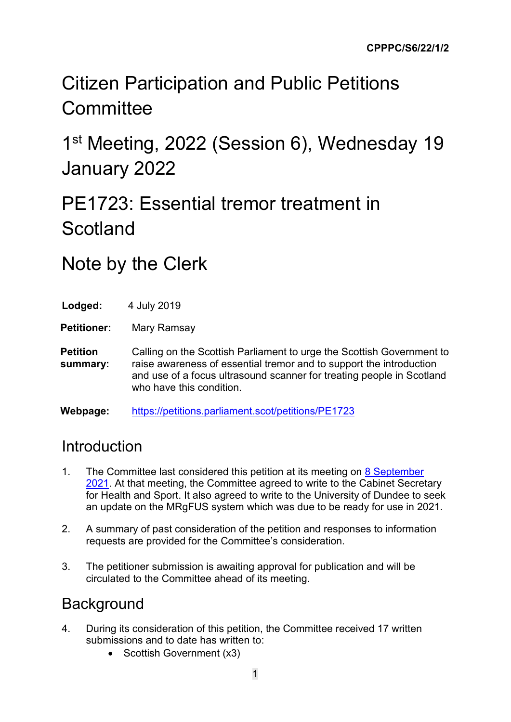# Citizen Participation and Public Petitions **Committee**

1<sup>st</sup> Meeting, 2022 (Session 6), Wednesday 19 January 2022

# PE1723: Essential tremor treatment in Scotland

### Note by the Clerk

| Lodged: | 4 July 2019 |
|---------|-------------|
|         |             |

**Petitioner:** Mary Ramsay

**Petition summary:** Calling on the Scottish Parliament to urge the Scottish Government to raise awareness of essential tremor and to support the introduction and use of a focus ultrasound scanner for treating people in Scotland who have this condition.

**Webpage:** <https://petitions.parliament.scot/petitions/PE1723>

### **Introduction**

- 1. The Committee last considered this petition at its meeting on 8 September [2021.](https://www.parliament.scot/chamber-and-committees/debates-and-questions/s6/citizen-participation-and-public-petitions/8-september-2021-13295) At that meeting, the Committee agreed to write to the Cabinet Secretary for Health and Sport. It also agreed to write to the University of Dundee to seek an update on the MRgFUS system which was due to be ready for use in 2021.
- 2. A summary of past consideration of the petition and responses to information requests are provided for the Committee's consideration.
- 3. The petitioner submission is awaiting approval for publication and will be circulated to the Committee ahead of its meeting.

#### **Background**

- 4. During its consideration of this petition, the Committee received 17 written submissions and to date has written to:
	- Scottish Government (x3)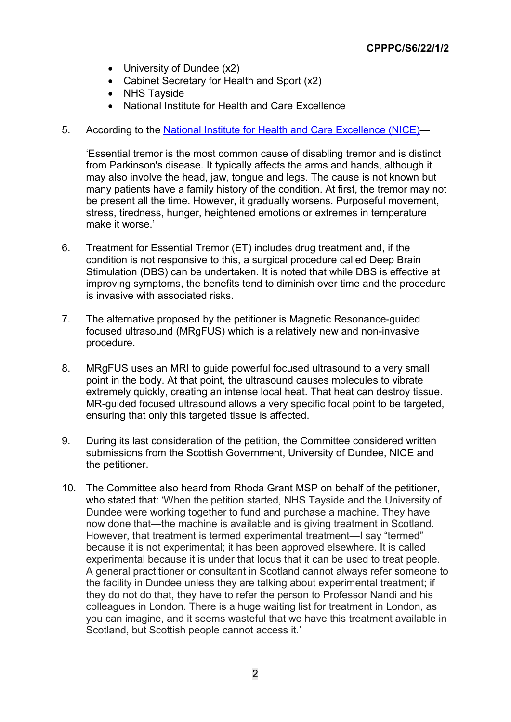- University of Dundee (x2)
- Cabinet Secretary for Health and Sport (x2)
- NHS Tayside
- National Institute for Health and Care Excellence
- 5. According to the [National Institute for Health and Care Excellence \(NICE\)—](https://www.nice.org.uk/guidance/ipg617/chapter/2-The-condition-current-treatments-and-procedure)

'Essential tremor is the most common cause of disabling tremor and is distinct from Parkinson's disease. It typically affects the arms and hands, although it may also involve the head, jaw, tongue and legs. The cause is not known but many patients have a family history of the condition. At first, the tremor may not be present all the time. However, it gradually worsens. Purposeful movement, stress, tiredness, hunger, heightened emotions or extremes in temperature make it worse.'

- 6. Treatment for Essential Tremor (ET) includes drug treatment and, if the condition is not responsive to this, a surgical procedure called Deep Brain Stimulation (DBS) can be undertaken. It is noted that while DBS is effective at improving symptoms, the benefits tend to diminish over time and the procedure is invasive with associated risks.
- 7. The alternative proposed by the petitioner is Magnetic Resonance-guided focused ultrasound (MRgFUS) which is a relatively new and non-invasive procedure.
- 8. MRgFUS uses an MRI to guide powerful focused ultrasound to a very small point in the body. At that point, the ultrasound causes molecules to vibrate extremely quickly, creating an intense local heat. That heat can destroy tissue. MR-guided focused ultrasound allows a very specific focal point to be targeted, ensuring that only this targeted tissue is affected.
- 9. During its last consideration of the petition, the Committee considered written submissions from the Scottish Government, University of Dundee, NICE and the petitioner.
- 10. The Committee also heard from Rhoda Grant MSP on behalf of the petitioner, who stated that: 'When the petition started, NHS Tayside and the University of Dundee were working together to fund and purchase a machine. They have now done that—the machine is available and is giving treatment in Scotland. However, that treatment is termed experimental treatment—I say "termed" because it is not experimental; it has been approved elsewhere. It is called experimental because it is under that locus that it can be used to treat people. A general practitioner or consultant in Scotland cannot always refer someone to the facility in Dundee unless they are talking about experimental treatment; if they do not do that, they have to refer the person to Professor Nandi and his colleagues in London. There is a huge waiting list for treatment in London, as you can imagine, and it seems wasteful that we have this treatment available in Scotland, but Scottish people cannot access it.'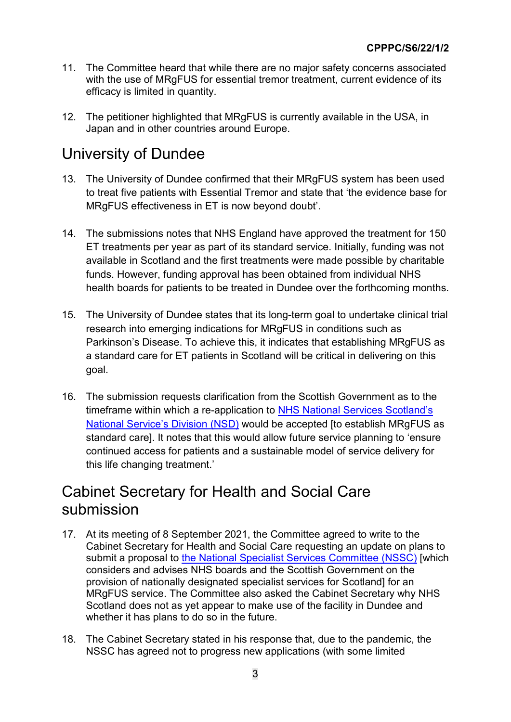- 11. The Committee heard that while there are no major safety concerns associated with the use of MRgFUS for essential tremor treatment, current evidence of its efficacy is limited in quantity.
- 12. The petitioner highlighted that MRgFUS is currently available in the USA, in Japan and in other countries around Europe.

#### University of Dundee

- 13. The University of Dundee confirmed that their MRgFUS system has been used to treat five patients with Essential Tremor and state that 'the evidence base for MRgFUS effectiveness in ET is now beyond doubt'.
- 14. The submissions notes that NHS England have approved the treatment for 150 ET treatments per year as part of its standard service. Initially, funding was not available in Scotland and the first treatments were made possible by charitable funds. However, funding approval has been obtained from individual NHS health boards for patients to be treated in Dundee over the forthcoming months.
- 15. The University of Dundee states that its long-term goal to undertake clinical trial research into emerging indications for MRgFUS in conditions such as Parkinson's Disease. To achieve this, it indicates that establishing MRgFUS as a standard care for ET patients in Scotland will be critical in delivering on this goal.
- 16. The submission requests clarification from the Scottish Government as to the timeframe within which a re-application to [NHS National Services Scotland's](https://www.nss.nhs.scot/departments/national-services-division/)  [National Service's Division \(NSD\)](https://www.nss.nhs.scot/departments/national-services-division/) would be accepted [to establish MRgFUS as standard care]. It notes that this would allow future service planning to 'ensure continued access for patients and a sustainable model of service delivery for this life changing treatment.'

#### Cabinet Secretary for Health and Social Care submission

- 17. At its meeting of 8 September 2021, the Committee agreed to write to the Cabinet Secretary for Health and Social Care requesting an update on plans to submit a proposal to [the National Specialist Services Committee \(NSSC\)](https://www.nss.nhs.scot/specialist-healthcare/specialist-services/setting-up-a-specialist-service/) [which] considers and advises NHS boards and the Scottish Government on the provision of nationally designated specialist services for Scotland] for an MRgFUS service. The Committee also asked the Cabinet Secretary why NHS Scotland does not as yet appear to make use of the facility in Dundee and whether it has plans to do so in the future.
- 18. The Cabinet Secretary stated in his response that, due to the pandemic, the NSSC has agreed not to progress new applications (with some limited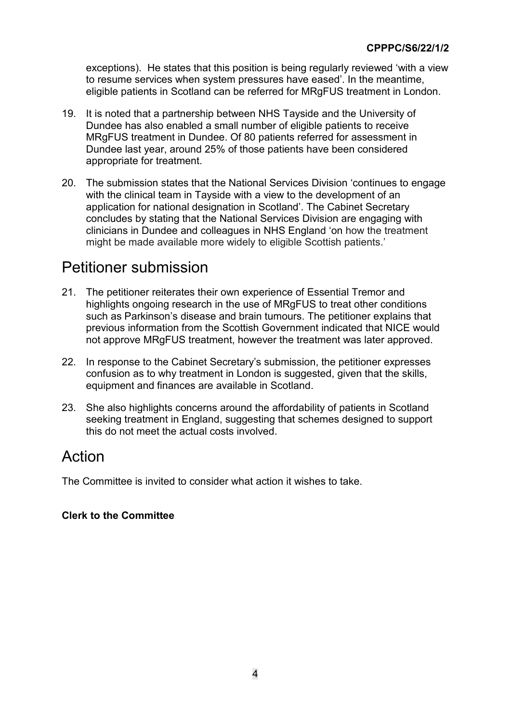exceptions). He states that this position is being regularly reviewed 'with a view to resume services when system pressures have eased'. In the meantime, eligible patients in Scotland can be referred for MRgFUS treatment in London.

- 19. It is noted that a partnership between NHS Tayside and the University of Dundee has also enabled a small number of eligible patients to receive MRgFUS treatment in Dundee. Of 80 patients referred for assessment in Dundee last year, around 25% of those patients have been considered appropriate for treatment.
- 20. The submission states that the National Services Division 'continues to engage with the clinical team in Tayside with a view to the development of an application for national designation in Scotland'. The Cabinet Secretary concludes by stating that the National Services Division are engaging with clinicians in Dundee and colleagues in NHS England 'on how the treatment might be made available more widely to eligible Scottish patients.'

#### Petitioner submission

- 21. The petitioner reiterates their own experience of Essential Tremor and highlights ongoing research in the use of MRgFUS to treat other conditions such as Parkinson's disease and brain tumours. The petitioner explains that previous information from the Scottish Government indicated that NICE would not approve MRgFUS treatment, however the treatment was later approved.
- 22. In response to the Cabinet Secretary's submission, the petitioner expresses confusion as to why treatment in London is suggested, given that the skills, equipment and finances are available in Scotland.
- 23. She also highlights concerns around the affordability of patients in Scotland seeking treatment in England, suggesting that schemes designed to support this do not meet the actual costs involved.

#### Action

The Committee is invited to consider what action it wishes to take.

#### **Clerk to the Committee**